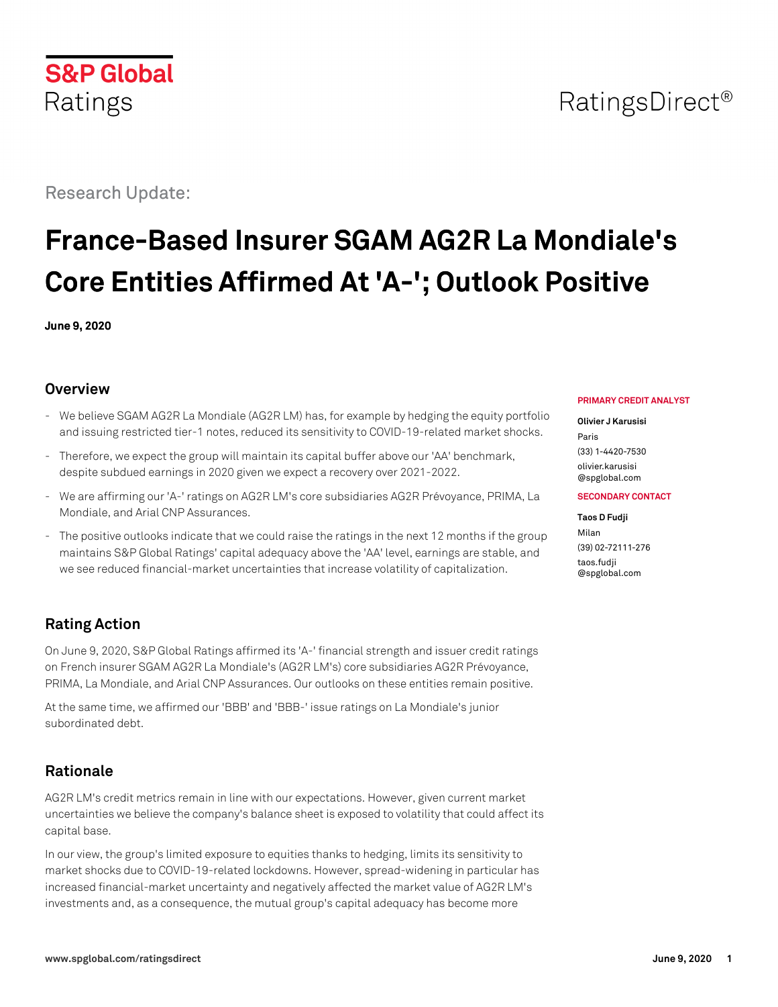## **S&P Global** Ratings

## Research Update:

# **France-Based Insurer SGAM AG2R La Mondiale's Core Entities Affirmed At 'A-'; Outlook Positive**

**June 9, 2020**

### **Overview**

- We believe SGAM AG2R La Mondiale (AG2R LM) has, for example by hedging the equity portfolio and issuing restricted tier-1 notes, reduced its sensitivity to COVID-19-related market shocks.
- Therefore, we expect the group will maintain its capital buffer above our 'AA' benchmark, despite subdued earnings in 2020 given we expect a recovery over 2021-2022.
- We are affirming our 'A-' ratings on AG2R LM's core subsidiaries AG2R Prévoyance, PRIMA, La Mondiale, and Arial CNP Assurances.
- The positive outlooks indicate that we could raise the ratings in the next 12 months if the group maintains S&P Global Ratings' capital adequacy above the 'AA' level, earnings are stable, and we see reduced financial-market uncertainties that increase volatility of capitalization.

## **Rating Action**

On June 9, 2020, S&P Global Ratings affirmed its 'A-' financial strength and issuer credit ratings on French insurer SGAM AG2R La Mondiale's (AG2R LM's) core subsidiaries AG2R Prévoyance, PRIMA, La Mondiale, and Arial CNP Assurances. Our outlooks on these entities remain positive.

At the same time, we affirmed our 'BBB' and 'BBB-' issue ratings on La Mondiale's junior subordinated debt.

## **Rationale**

AG2R LM's credit metrics remain in line with our expectations. However, given current market uncertainties we believe the company's balance sheet is exposed to volatility that could affect its capital base.

In our view, the group's limited exposure to equities thanks to hedging, limits its sensitivity to market shocks due to COVID-19-related lockdowns. However, spread-widening in particular has increased financial-market uncertainty and negatively affected the market value of AG2R LM's investments and, as a consequence, the mutual group's capital adequacy has become more

### **PRIMARY CREDIT ANALYST**

### **Olivier J Karusisi**

Paris (33) 1-4420-7530 [olivier.karusisi](mailto:olivier.karusisi@spglobal.com) [@spglobal.com](mailto:olivier.karusisi@spglobal.com)

### **SECONDARY CONTACT**

### **Taos D Fudji**

Milan (39) 02-72111-276 [taos.fudji](mailto:taos.fudji@spglobal.com) [@spglobal.com](mailto:taos.fudji@spglobal.com)

## RatingsDirect<sup>®</sup>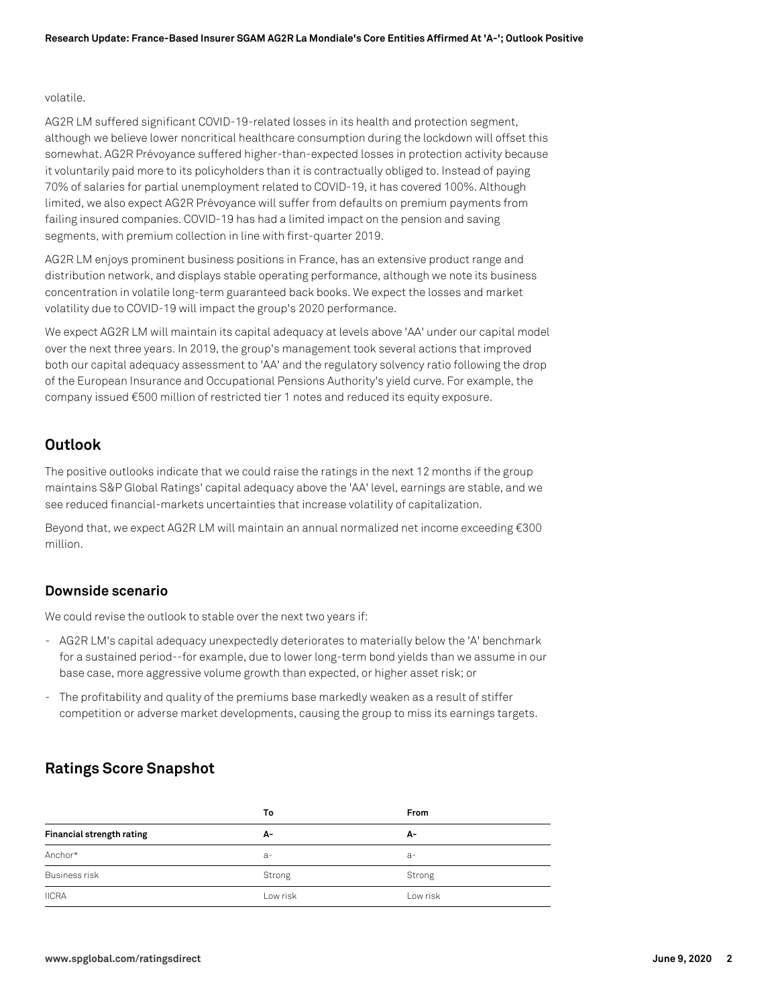### volatile.

AG2R LM suffered significant COVID-19-related losses in its health and protection segment, although we believe lower noncritical healthcare consumption during the lockdown will offset this somewhat. AG2R Prévoyance suffered higher-than-expected losses in protection activity because it voluntarily paid more to its policyholders than it is contractually obliged to. Instead of paying 70% of salaries for partial unemployment related to COVID-19, it has covered 100%. Although limited, we also expect AG2R Prévoyance will suffer from defaults on premium payments from failing insured companies. COVID-19 has had a limited impact on the pension and saving segments, with premium collection in line with first-quarter 2019.

AG2R LM enjoys prominent business positions in France, has an extensive product range and distribution network, and displays stable operating performance, although we note its business concentration in volatile long-term guaranteed back books. We expect the losses and market volatility due to COVID-19 will impact the group's 2020 performance.

We expect AG2R LM will maintain its capital adequacy at levels above 'AA' under our capital model over the next three years. In 2019, the group's management took several actions that improved both our capital adequacy assessment to 'AA' and the regulatory solvency ratio following the drop of the European Insurance and Occupational Pensions Authority's yield curve. For example, the company issued €500 million of restricted tier 1 notes and reduced its equity exposure.

### **Outlook**

The positive outlooks indicate that we could raise the ratings in the next 12 months if the group maintains S&P Global Ratings' capital adequacy above the 'AA' level, earnings are stable, and we see reduced financial-markets uncertainties that increase volatility of capitalization.

Beyond that, we expect AG2R LM will maintain an annual normalized net income exceeding €300 million.

### **Downside scenario**

We could revise the outlook to stable over the next two years if:

- AG2R LM's capital adequacy unexpectedly deteriorates to materially below the 'A' benchmark for a sustained period--for example, due to lower long-term bond yields than we assume in our base case, more aggressive volume growth than expected, or higher asset risk; or
- The profitability and quality of the premiums base markedly weaken as a result of stiffer competition or adverse market developments, causing the group to miss its earnings targets.

### **Ratings Score Snapshot**

|                           | To       | <b>From</b> |
|---------------------------|----------|-------------|
| Financial strength rating | А-       | А-          |
| Anchor*                   | $a-$     | $a-$        |
| <b>Business risk</b>      | Strong   | Strong      |
| <b>IICRA</b>              | Low risk | Low risk    |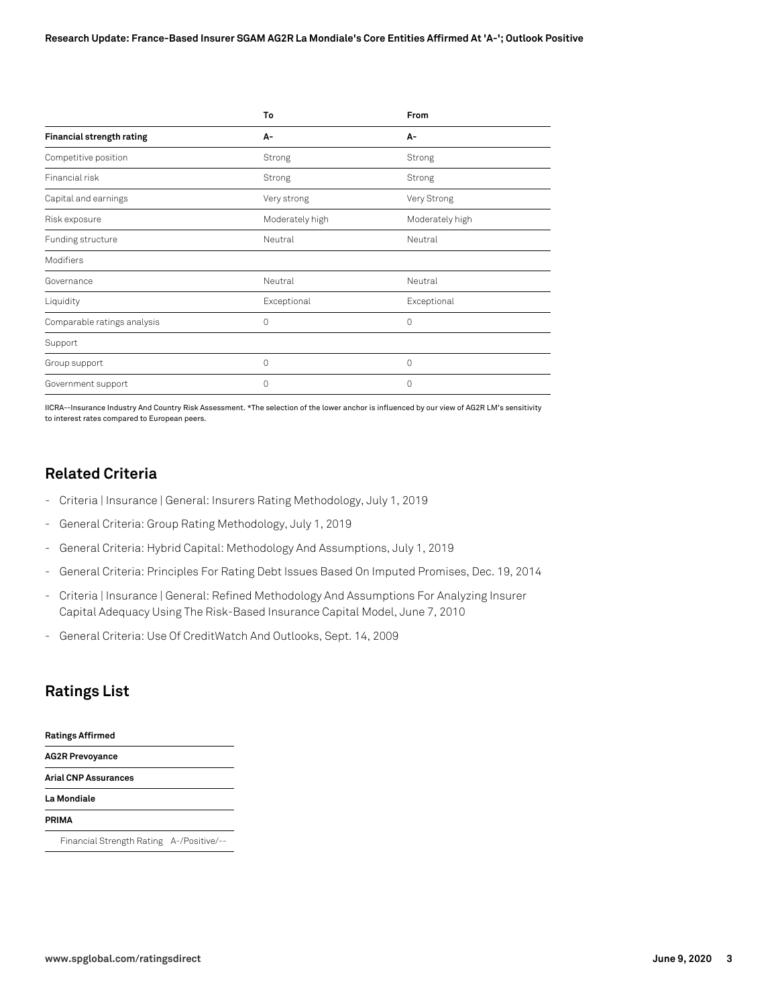|                             | To              | From            |  |
|-----------------------------|-----------------|-----------------|--|
| Financial strength rating   | А-              | А-              |  |
| Competitive position        | Strong          | Strong          |  |
| Financial risk              | Strong          | Strong          |  |
| Capital and earnings        | Very strong     | Very Strong     |  |
| Risk exposure               | Moderately high | Moderately high |  |
| Funding structure           | Neutral         | Neutral         |  |
| Modifiers                   |                 |                 |  |
| Governance                  | Neutral         | Neutral         |  |
| Liquidity                   | Exceptional     | Exceptional     |  |
| Comparable ratings analysis | 0               | $\Omega$        |  |
| Support                     |                 |                 |  |
| Group support               | 0               | 0               |  |
| Government support          | $\Omega$        | $\Omega$        |  |

IICRA--Insurance Industry And Country Risk Assessment. \*The selection of the lower anchor is influenced by our view of AG2R LM's sensitivity to interest rates compared to European peers.

### **Related Criteria**

- Criteria | Insurance | General: Insurers Rating Methodology, July 1, 2019
- General Criteria: Group Rating Methodology, July 1, 2019
- General Criteria: Hybrid Capital: Methodology And Assumptions, July 1, 2019
- General Criteria: Principles For Rating Debt Issues Based On Imputed Promises, Dec. 19, 2014
- Criteria | Insurance | General: Refined Methodology And Assumptions For Analyzing Insurer Capital Adequacy Using The Risk-Based Insurance Capital Model, June 7, 2010
- General Criteria: Use Of CreditWatch And Outlooks, Sept. 14, 2009

### **Ratings List**

| <b>Ratings Affirmed</b>                               |  |  |  |  |
|-------------------------------------------------------|--|--|--|--|
| <b>AG2R Prevoyance</b><br><b>Arial CNP Assurances</b> |  |  |  |  |
|                                                       |  |  |  |  |
| PRIMA                                                 |  |  |  |  |
| Financial Strength Rating A-/Positive/--              |  |  |  |  |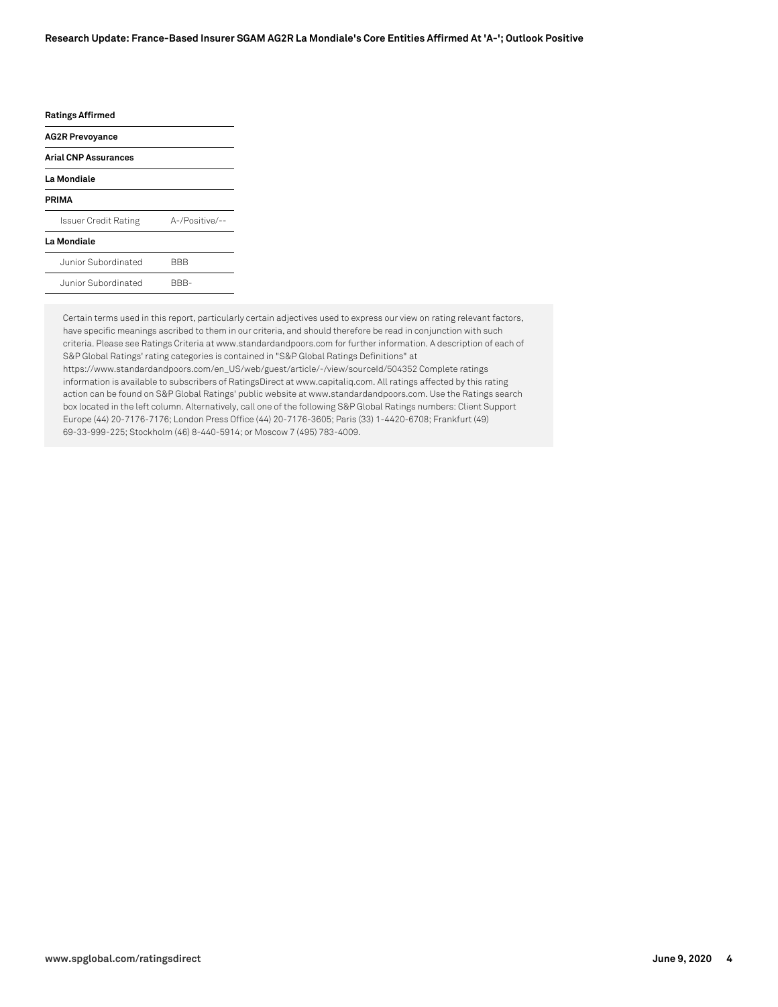#### **Research Update: France-Based Insurer SGAM AG2R La Mondiale's Core Entities Affirmed At 'A-'; Outlook Positive**

#### **Ratings Affirmed**

| <b>AG2R Prevoyance</b>      |                |
|-----------------------------|----------------|
| <b>Arial CNP Assurances</b> |                |
| La Mondiale                 |                |
| PRIMA                       |                |
| Issuer Credit Rating        | A-/Positive/-- |
| La Mondiale                 |                |
| Junior Subordinated         |                |

| Junior Subordinated | RRR- |
|---------------------|------|
|                     |      |

Certain terms used in this report, particularly certain adjectives used to express our view on rating relevant factors, have specific meanings ascribed to them in our criteria, and should therefore be read in conjunction with such criteria. Please see Ratings Criteria at www.standardandpoors.com for further information. A description of each of S&P Global Ratings' rating categories is contained in "S&P Global Ratings Definitions" at https://www.standardandpoors.com/en\_US/web/guest/article/-/view/sourceId/504352 Complete ratings information is available to subscribers of RatingsDirect at www.capitaliq.com. All ratings affected by this rating action can be found on S&P Global Ratings' public website at www.standardandpoors.com. Use the Ratings search box located in the left column. Alternatively, call one of the following S&P Global Ratings numbers: Client Support Europe (44) 20-7176-7176; London Press Office (44) 20-7176-3605; Paris (33) 1-4420-6708; Frankfurt (49) 69-33-999-225; Stockholm (46) 8-440-5914; or Moscow 7 (495) 783-4009.